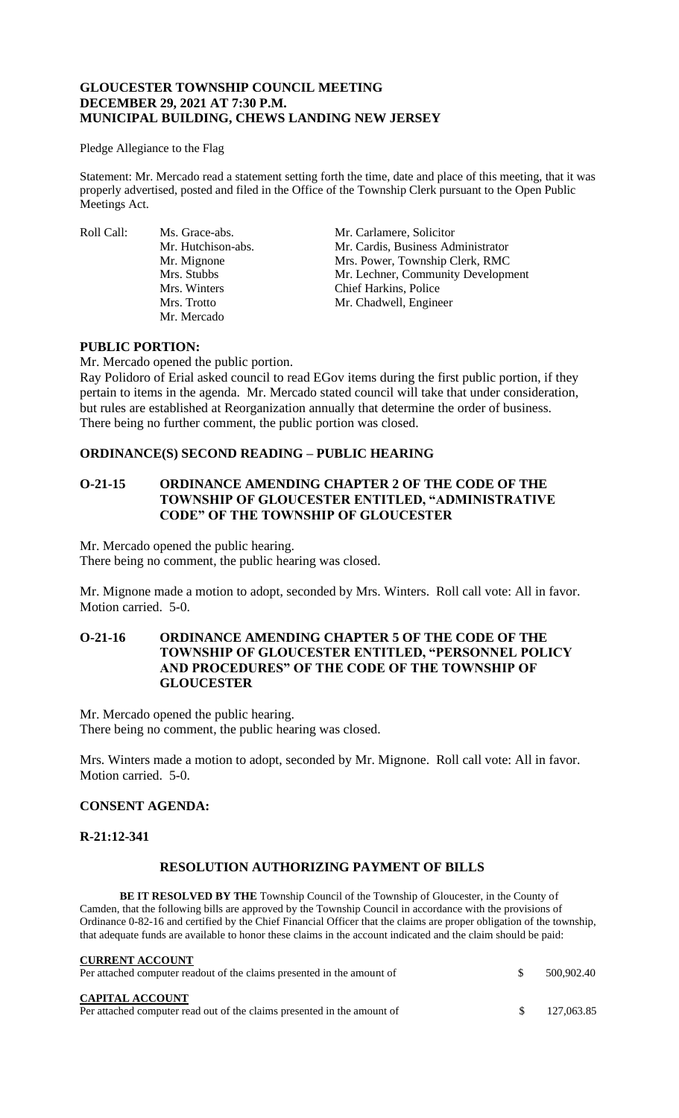## **GLOUCESTER TOWNSHIP COUNCIL MEETING DECEMBER 29, 2021 AT 7:30 P.M. MUNICIPAL BUILDING, CHEWS LANDING NEW JERSEY**

#### Pledge Allegiance to the Flag

Statement: Mr. Mercado read a statement setting forth the time, date and place of this meeting, that it was properly advertised, posted and filed in the Office of the Township Clerk pursuant to the Open Public Meetings Act.

Roll Call: Ms. Grace-abs. Mr. Carlamere, Solicitor<br>Mr. Hutchison-abs. Mr. Cardis, Business Adı Mr. Mercado

Mr. Cardis, Business Administrator Mr. Mignone Mrs. Power, Township Clerk, RMC Mrs. Stubbs Mr. Lechner, Community Development Mrs. Winters Chief Harkins, Police Mrs. Trotto Mr. Chadwell, Engineer

#### **PUBLIC PORTION:**

Mr. Mercado opened the public portion.

Ray Polidoro of Erial asked council to read EGov items during the first public portion, if they pertain to items in the agenda. Mr. Mercado stated council will take that under consideration, but rules are established at Reorganization annually that determine the order of business. There being no further comment, the public portion was closed.

## **ORDINANCE(S) SECOND READING – PUBLIC HEARING**

## **O-21-15 ORDINANCE AMENDING CHAPTER 2 OF THE CODE OF THE TOWNSHIP OF GLOUCESTER ENTITLED, "ADMINISTRATIVE CODE" OF THE TOWNSHIP OF GLOUCESTER**

Mr. Mercado opened the public hearing.

There being no comment, the public hearing was closed.

Mr. Mignone made a motion to adopt, seconded by Mrs. Winters. Roll call vote: All in favor. Motion carried. 5-0.

## **O-21-16 ORDINANCE AMENDING CHAPTER 5 OF THE CODE OF THE TOWNSHIP OF GLOUCESTER ENTITLED, "PERSONNEL POLICY AND PROCEDURES" OF THE CODE OF THE TOWNSHIP OF GLOUCESTER**

Mr. Mercado opened the public hearing. There being no comment, the public hearing was closed.

Mrs. Winters made a motion to adopt, seconded by Mr. Mignone. Roll call vote: All in favor. Motion carried. 5-0.

## **CONSENT AGENDA:**

## **R-21:12-341**

## **RESOLUTION AUTHORIZING PAYMENT OF BILLS**

**BE IT RESOLVED BY THE** Township Council of the Township of Gloucester, in the County of Camden, that the following bills are approved by the Township Council in accordance with the provisions of Ordinance 0-82-16 and certified by the Chief Financial Officer that the claims are proper obligation of the township, that adequate funds are available to honor these claims in the account indicated and the claim should be paid:

| <b>CURRENT ACCOUNT</b><br>Per attached computer readout of the claims presented in the amount of  | 500,902.40 |
|---------------------------------------------------------------------------------------------------|------------|
| <b>CAPITAL ACCOUNT</b><br>Per attached computer read out of the claims presented in the amount of | 127,063.85 |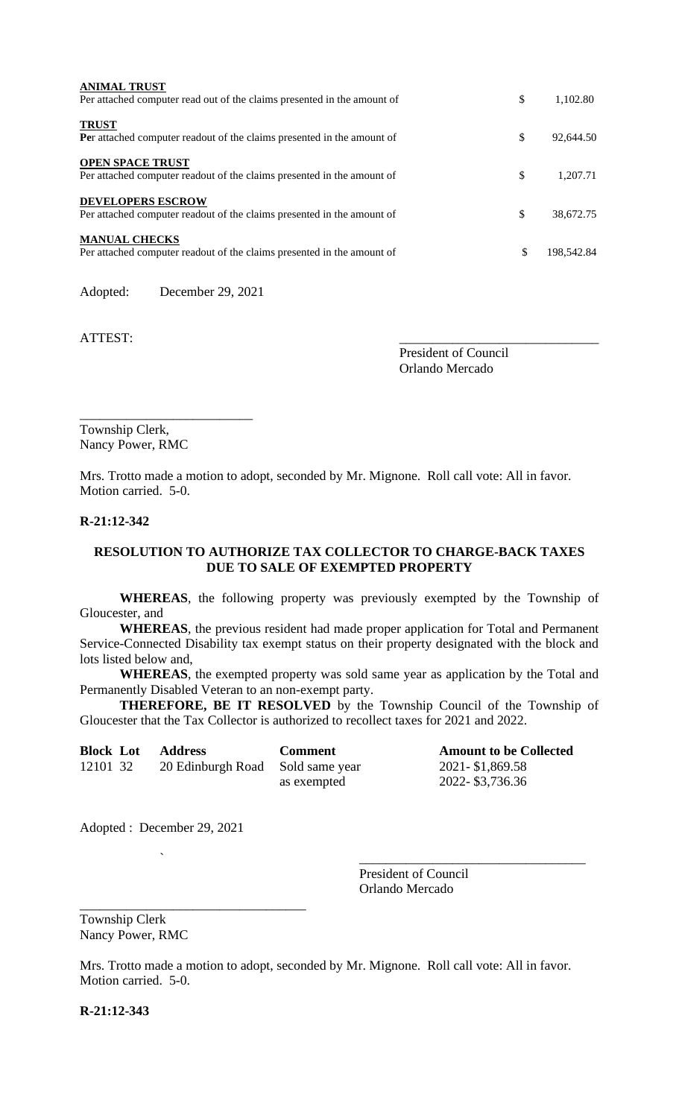| <b>ANIMAL TRUST</b><br>Per attached computer read out of the claims presented in the amount of     | \$<br>1,102.80   |
|----------------------------------------------------------------------------------------------------|------------------|
| <b>TRUST</b><br>Per attached computer readout of the claims presented in the amount of             | \$<br>92,644.50  |
| <b>OPEN SPACE TRUST</b><br>Per attached computer readout of the claims presented in the amount of  | \$<br>1.207.71   |
| <b>DEVELOPERS ESCROW</b><br>Per attached computer readout of the claims presented in the amount of | \$<br>38,672.75  |
| <b>MANUAL CHECKS</b><br>Per attached computer readout of the claims presented in the amount of     | \$<br>198.542.84 |

Adopted: December 29, 2021

\_\_\_\_\_\_\_\_\_\_\_\_\_\_\_\_\_\_\_\_\_\_\_\_\_\_

ATTEST:

President of Council Orlando Mercado

Township Clerk, Nancy Power, RMC

Mrs. Trotto made a motion to adopt, seconded by Mr. Mignone. Roll call vote: All in favor. Motion carried. 5-0.

#### **R-21:12-342**

## **RESOLUTION TO AUTHORIZE TAX COLLECTOR TO CHARGE-BACK TAXES DUE TO SALE OF EXEMPTED PROPERTY**

**WHEREAS**, the following property was previously exempted by the Township of Gloucester, and

**WHEREAS**, the previous resident had made proper application for Total and Permanent Service-Connected Disability tax exempt status on their property designated with the block and lots listed below and,

**WHEREAS**, the exempted property was sold same year as application by the Total and Permanently Disabled Veteran to an non-exempt party.

**THEREFORE, BE IT RESOLVED** by the Township Council of the Township of Gloucester that the Tax Collector is authorized to recollect taxes for 2021 and 2022.

| <b>Block Lot</b> | Address                          | <b>Comment</b> |
|------------------|----------------------------------|----------------|
| 12101 32         | 20 Edinburgh Road Sold same year |                |
|                  |                                  | as exempted    |

**Amount to be Collected** 2021 - \$1,869.58 2022- \$3,736.36

Adopted : December 29, 2021

\_\_\_\_\_\_\_\_\_\_\_\_\_\_\_\_\_\_\_\_\_\_\_\_\_\_\_\_\_\_\_\_\_\_

 $\blacksquare$ President of Council Orlando Mercado

Township Clerk Nancy Power, RMC

Mrs. Trotto made a motion to adopt, seconded by Mr. Mignone. Roll call vote: All in favor. Motion carried. 5-0.

**R-21:12-343**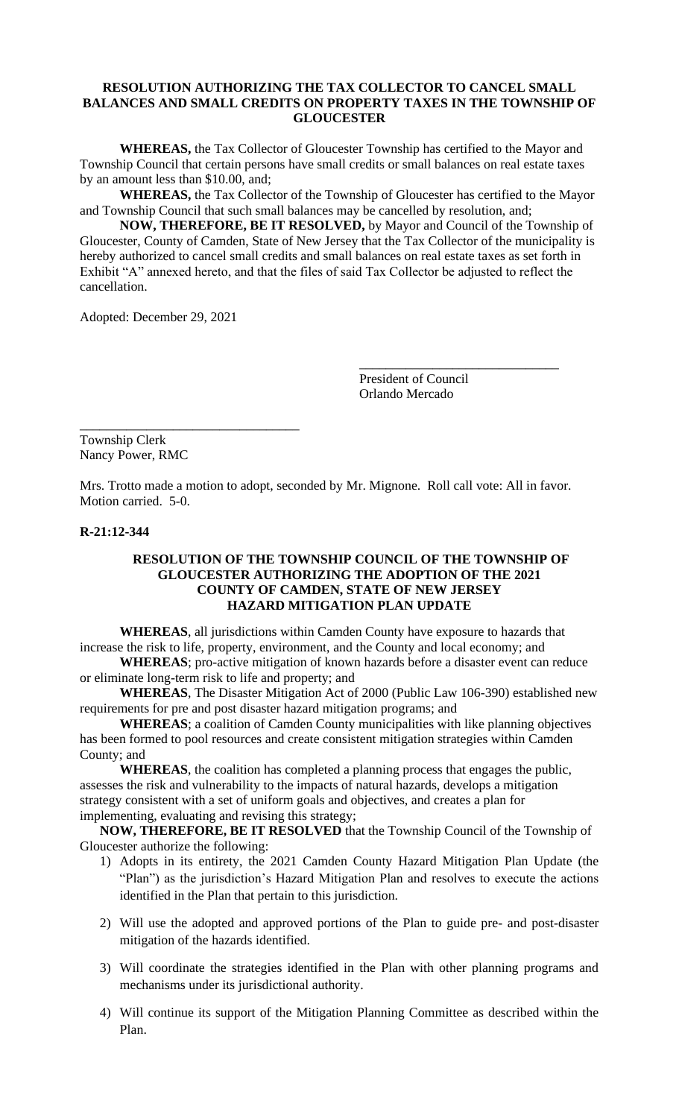## **RESOLUTION AUTHORIZING THE TAX COLLECTOR TO CANCEL SMALL BALANCES AND SMALL CREDITS ON PROPERTY TAXES IN THE TOWNSHIP OF GLOUCESTER**

**WHEREAS,** the Tax Collector of Gloucester Township has certified to the Mayor and Township Council that certain persons have small credits or small balances on real estate taxes by an amount less than \$10.00, and;

**WHEREAS,** the Tax Collector of the Township of Gloucester has certified to the Mayor and Township Council that such small balances may be cancelled by resolution, and;

**NOW, THEREFORE, BE IT RESOLVED,** by Mayor and Council of the Township of Gloucester, County of Camden, State of New Jersey that the Tax Collector of the municipality is hereby authorized to cancel small credits and small balances on real estate taxes as set forth in Exhibit "A" annexed hereto, and that the files of said Tax Collector be adjusted to reflect the cancellation.

Adopted: December 29, 2021

President of Council Orlando Mercado

\_\_\_\_\_\_\_\_\_\_\_\_\_\_\_\_\_\_\_\_\_\_\_\_\_\_\_\_\_\_

\_\_\_\_\_\_\_\_\_\_\_\_\_\_\_\_\_\_\_\_\_\_\_\_\_\_\_\_\_\_\_\_\_ Township Clerk Nancy Power, RMC

Mrs. Trotto made a motion to adopt, seconded by Mr. Mignone. Roll call vote: All in favor. Motion carried. 5-0.

#### **R-21:12-344**

### **RESOLUTION OF THE TOWNSHIP COUNCIL OF THE TOWNSHIP OF GLOUCESTER AUTHORIZING THE ADOPTION OF THE 2021 COUNTY OF CAMDEN, STATE OF NEW JERSEY HAZARD MITIGATION PLAN UPDATE**

**WHEREAS**, all jurisdictions within Camden County have exposure to hazards that increase the risk to life, property, environment, and the County and local economy; and

**WHEREAS**; pro-active mitigation of known hazards before a disaster event can reduce or eliminate long-term risk to life and property; and

**WHEREAS**, The Disaster Mitigation Act of 2000 (Public Law 106-390) established new requirements for pre and post disaster hazard mitigation programs; and

**WHEREAS**; a coalition of Camden County municipalities with like planning objectives has been formed to pool resources and create consistent mitigation strategies within Camden County; and

**WHEREAS**, the coalition has completed a planning process that engages the public, assesses the risk and vulnerability to the impacts of natural hazards, develops a mitigation strategy consistent with a set of uniform goals and objectives, and creates a plan for implementing, evaluating and revising this strategy;

**NOW, THEREFORE, BE IT RESOLVED** that the Township Council of the Township of Gloucester authorize the following:

- 1) Adopts in its entirety, the 2021 Camden County Hazard Mitigation Plan Update (the "Plan") as the jurisdiction's Hazard Mitigation Plan and resolves to execute the actions identified in the Plan that pertain to this jurisdiction.
- 2) Will use the adopted and approved portions of the Plan to guide pre- and post-disaster mitigation of the hazards identified.
- 3) Will coordinate the strategies identified in the Plan with other planning programs and mechanisms under its jurisdictional authority.
- 4) Will continue its support of the Mitigation Planning Committee as described within the Plan.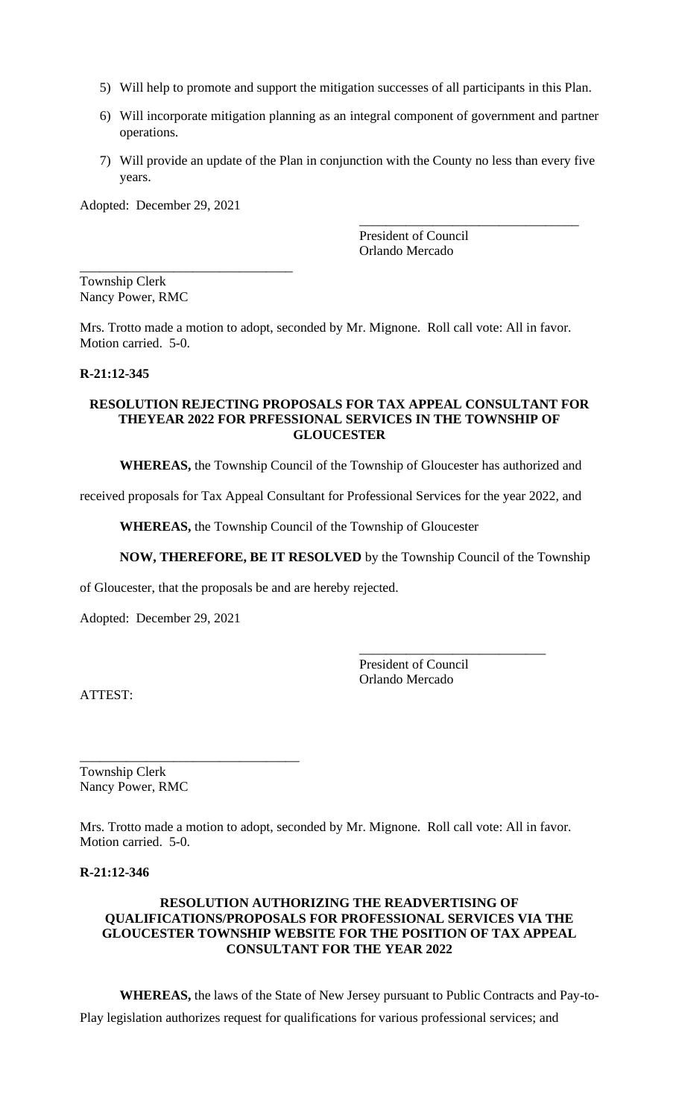- 5) Will help to promote and support the mitigation successes of all participants in this Plan.
- 6) Will incorporate mitigation planning as an integral component of government and partner operations.
- 7) Will provide an update of the Plan in conjunction with the County no less than every five years.

Adopted: December 29, 2021

\_\_\_\_\_\_\_\_\_\_\_\_\_\_\_\_\_\_\_\_\_\_\_\_\_\_\_\_\_\_\_\_

\_\_\_\_\_\_\_\_\_\_\_\_\_\_\_\_\_\_\_\_\_\_\_\_\_\_\_\_\_\_\_\_\_ President of Council Orlando Mercado

Township Clerk Nancy Power, RMC

Mrs. Trotto made a motion to adopt, seconded by Mr. Mignone. Roll call vote: All in favor. Motion carried. 5-0.

#### **R-21:12-345**

### **RESOLUTION REJECTING PROPOSALS FOR TAX APPEAL CONSULTANT FOR THEYEAR 2022 FOR PRFESSIONAL SERVICES IN THE TOWNSHIP OF GLOUCESTER**

**WHEREAS,** the Township Council of the Township of Gloucester has authorized and

received proposals for Tax Appeal Consultant for Professional Services for the year 2022, and

**WHEREAS,** the Township Council of the Township of Gloucester

**NOW, THEREFORE, BE IT RESOLVED** by the Township Council of the Township

of Gloucester, that the proposals be and are hereby rejected.

Adopted: December 29, 2021

\_\_\_\_\_\_\_\_\_\_\_\_\_\_\_\_\_\_\_\_\_\_\_\_\_\_\_\_\_\_\_\_\_

President of Council Orlando Mercado

\_\_\_\_\_\_\_\_\_\_\_\_\_\_\_\_\_\_\_\_\_\_\_\_\_\_\_\_

ATTEST:

Township Clerk Nancy Power, RMC

Mrs. Trotto made a motion to adopt, seconded by Mr. Mignone. Roll call vote: All in favor. Motion carried. 5-0.

## **R-21:12-346**

## **RESOLUTION AUTHORIZING THE READVERTISING OF QUALIFICATIONS/PROPOSALS FOR PROFESSIONAL SERVICES VIA THE GLOUCESTER TOWNSHIP WEBSITE FOR THE POSITION OF TAX APPEAL CONSULTANT FOR THE YEAR 2022**

**WHEREAS,** the laws of the State of New Jersey pursuant to Public Contracts and Pay-to-Play legislation authorizes request for qualifications for various professional services; and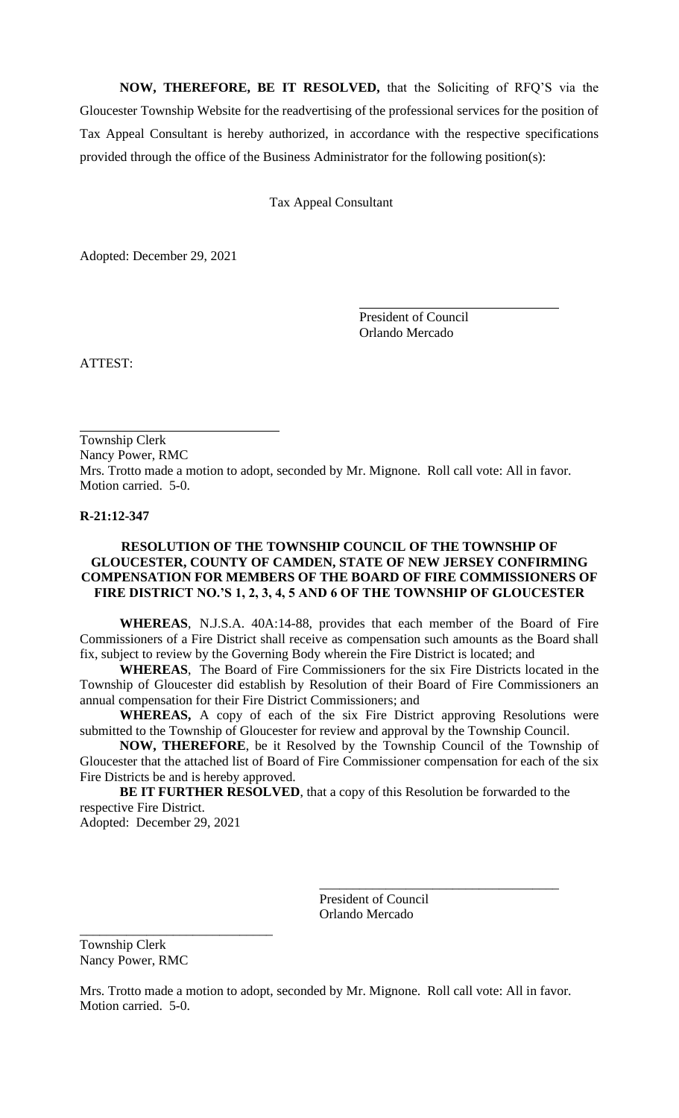**NOW, THEREFORE, BE IT RESOLVED,** that the Soliciting of RFQ'S via the Gloucester Township Website for the readvertising of the professional services for the position of Tax Appeal Consultant is hereby authorized, in accordance with the respective specifications provided through the office of the Business Administrator for the following position(s):

Tax Appeal Consultant

Adopted: December 29, 2021

President of Council Orlando Mercado

ATTEST:

Township Clerk Nancy Power, RMC Mrs. Trotto made a motion to adopt, seconded by Mr. Mignone. Roll call vote: All in favor. Motion carried. 5-0.

## **R-21:12-347**

## **RESOLUTION OF THE TOWNSHIP COUNCIL OF THE TOWNSHIP OF GLOUCESTER, COUNTY OF CAMDEN, STATE OF NEW JERSEY CONFIRMING COMPENSATION FOR MEMBERS OF THE BOARD OF FIRE COMMISSIONERS OF FIRE DISTRICT NO.'S 1, 2, 3, 4, 5 AND 6 OF THE TOWNSHIP OF GLOUCESTER**

**WHEREAS**, N.J.S.A. 40A:14-88, provides that each member of the Board of Fire Commissioners of a Fire District shall receive as compensation such amounts as the Board shall fix, subject to review by the Governing Body wherein the Fire District is located; and

**WHEREAS**, The Board of Fire Commissioners for the six Fire Districts located in the Township of Gloucester did establish by Resolution of their Board of Fire Commissioners an annual compensation for their Fire District Commissioners; and

**WHEREAS,** A copy of each of the six Fire District approving Resolutions were submitted to the Township of Gloucester for review and approval by the Township Council.

**NOW, THEREFORE**, be it Resolved by the Township Council of the Township of Gloucester that the attached list of Board of Fire Commissioner compensation for each of the six Fire Districts be and is hereby approved.

**BE IT FURTHER RESOLVED**, that a copy of this Resolution be forwarded to the respective Fire District.

Adopted: December 29, 2021

\_\_\_\_\_\_\_\_\_\_\_\_\_\_\_\_\_\_\_\_\_\_\_\_\_\_\_\_\_

President of Council Orlando Mercado

\_\_\_\_\_\_\_\_\_\_\_\_\_\_\_\_\_\_\_\_\_\_\_\_\_\_\_\_\_\_\_\_\_\_\_\_

Township Clerk Nancy Power, RMC

Mrs. Trotto made a motion to adopt, seconded by Mr. Mignone. Roll call vote: All in favor. Motion carried. 5-0.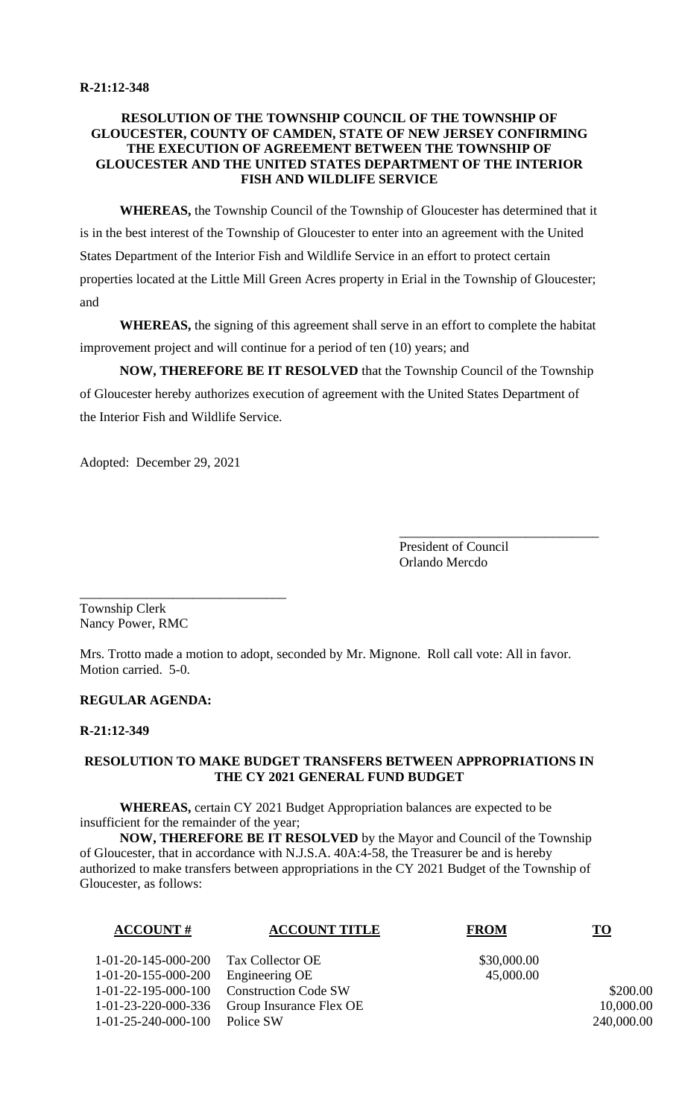## **RESOLUTION OF THE TOWNSHIP COUNCIL OF THE TOWNSHIP OF GLOUCESTER, COUNTY OF CAMDEN, STATE OF NEW JERSEY CONFIRMING THE EXECUTION OF AGREEMENT BETWEEN THE TOWNSHIP OF GLOUCESTER AND THE UNITED STATES DEPARTMENT OF THE INTERIOR FISH AND WILDLIFE SERVICE**

**WHEREAS,** the Township Council of the Township of Gloucester has determined that it is in the best interest of the Township of Gloucester to enter into an agreement with the United States Department of the Interior Fish and Wildlife Service in an effort to protect certain properties located at the Little Mill Green Acres property in Erial in the Township of Gloucester; and

**WHEREAS,** the signing of this agreement shall serve in an effort to complete the habitat improvement project and will continue for a period of ten (10) years; and

**NOW, THEREFORE BE IT RESOLVED** that the Township Council of the Township of Gloucester hereby authorizes execution of agreement with the United States Department of the Interior Fish and Wildlife Service.

Adopted: December 29, 2021

President of Council Orlando Mercdo

\_\_\_\_\_\_\_\_\_\_\_\_\_\_\_\_\_\_\_\_\_\_\_\_\_\_\_\_\_\_

\_\_\_\_\_\_\_\_\_\_\_\_\_\_\_\_\_\_\_\_\_\_\_\_\_\_\_\_\_\_\_ Township Clerk Nancy Power, RMC

Mrs. Trotto made a motion to adopt, seconded by Mr. Mignone. Roll call vote: All in favor. Motion carried. 5-0.

## **REGULAR AGENDA:**

#### **R-21:12-349**

## **RESOLUTION TO MAKE BUDGET TRANSFERS BETWEEN APPROPRIATIONS IN THE CY 2021 GENERAL FUND BUDGET**

**WHEREAS,** certain CY 2021 Budget Appropriation balances are expected to be insufficient for the remainder of the year;

**NOW, THEREFORE BE IT RESOLVED** by the Mayor and Council of the Township of Gloucester, that in accordance with N.J.S.A. 40A:4-58, the Treasurer be and is hereby authorized to make transfers between appropriations in the CY 2021 Budget of the Township of Gloucester, as follows:

| <b>ACCOUNT#</b>     | <b>ACCOUNT TITLE</b>        | <b>FROM</b> | <u>TO</u>  |
|---------------------|-----------------------------|-------------|------------|
| 1-01-20-145-000-200 | Tax Collector OE            | \$30,000.00 |            |
| 1-01-20-155-000-200 | Engineering OE              | 45,000.00   |            |
| 1-01-22-195-000-100 | <b>Construction Code SW</b> |             | \$200.00   |
| 1-01-23-220-000-336 | Group Insurance Flex OE     |             | 10,000.00  |
| 1-01-25-240-000-100 | Police SW                   |             | 240,000.00 |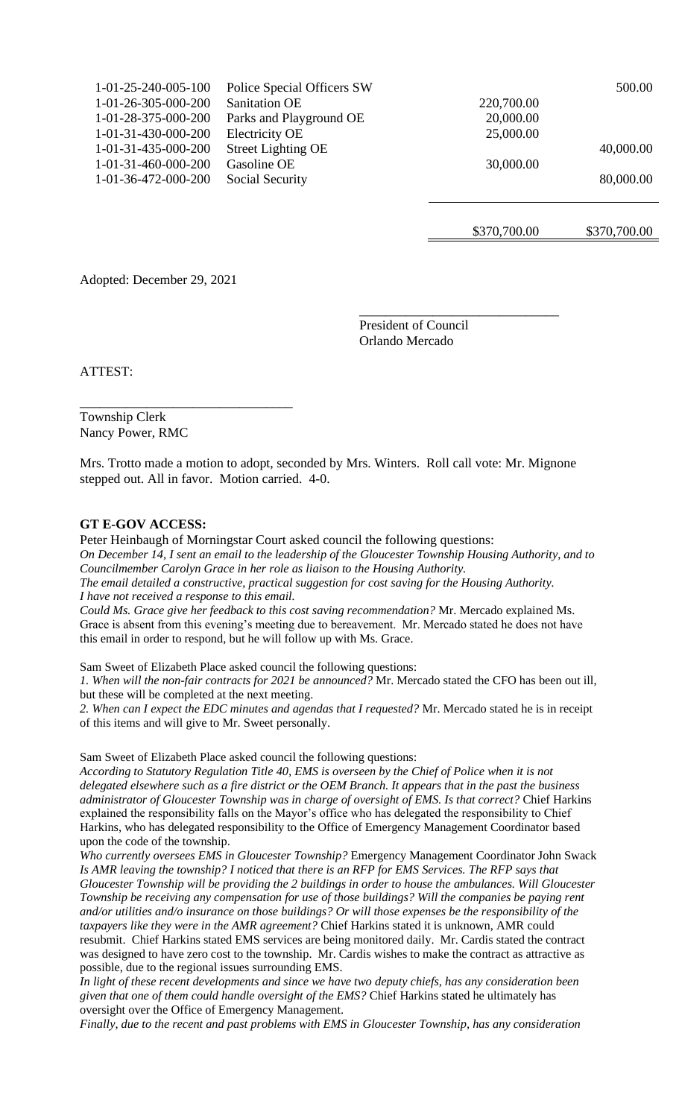| $1-01-25-240-005-100$ | Police Special Officers SW |            | 500.00    |
|-----------------------|----------------------------|------------|-----------|
| 1-01-26-305-000-200   | Sanitation OE              | 220,700.00 |           |
| 1-01-28-375-000-200   | Parks and Playground OE    | 20,000.00  |           |
| 1-01-31-430-000-200   | Electricity OE             | 25,000.00  |           |
| 1-01-31-435-000-200   | Street Lighting OE         |            | 40,000.00 |
| 1-01-31-460-000-200   | Gasoline OE                | 30,000.00  |           |
| 1-01-36-472-000-200   | Social Security            |            | 80,000.00 |
|                       |                            |            |           |

\$370,700.00 \$370,700.00

Adopted: December 29, 2021

\_\_\_\_\_\_\_\_\_\_\_\_\_\_\_\_\_\_\_\_\_\_\_\_\_\_\_\_\_\_\_\_

President of Council Orlando Mercado

\_\_\_\_\_\_\_\_\_\_\_\_\_\_\_\_\_\_\_\_\_\_\_\_\_\_\_\_\_\_

ATTEST:

Township Clerk Nancy Power, RMC

Mrs. Trotto made a motion to adopt, seconded by Mrs. Winters. Roll call vote: Mr. Mignone stepped out. All in favor. Motion carried. 4-0.

#### **GT E-GOV ACCESS:**

Peter Heinbaugh of Morningstar Court asked council the following questions: *On December 14, I sent an email to the leadership of the Gloucester Township Housing Authority, and to Councilmember Carolyn Grace in her role as liaison to the Housing Authority. The email detailed a constructive, practical suggestion for cost saving for the Housing Authority. I have not received a response to this email.*

*Could Ms. Grace give her feedback to this cost saving recommendation?* Mr. Mercado explained Ms. Grace is absent from this evening's meeting due to bereavement. Mr. Mercado stated he does not have this email in order to respond, but he will follow up with Ms. Grace.

Sam Sweet of Elizabeth Place asked council the following questions:

*1. When will the non-fair contracts for 2021 be announced?* Mr. Mercado stated the CFO has been out ill, but these will be completed at the next meeting.

*2. When can I expect the EDC minutes and agendas that I requested?* Mr. Mercado stated he is in receipt of this items and will give to Mr. Sweet personally.

Sam Sweet of Elizabeth Place asked council the following questions:

*According to Statutory Regulation Title 40, EMS is overseen by the Chief of Police when it is not delegated elsewhere such as a fire district or the OEM Branch. It appears that in the past the business administrator of Gloucester Township was in charge of oversight of EMS. Is that correct?* Chief Harkins explained the responsibility falls on the Mayor's office who has delegated the responsibility to Chief Harkins, who has delegated responsibility to the Office of Emergency Management Coordinator based upon the code of the township.

*Who currently oversees EMS in Gloucester Township?* Emergency Management Coordinator John Swack *Is AMR leaving the township? I noticed that there is an RFP for EMS Services. The RFP says that Gloucester Township will be providing the 2 buildings in order to house the ambulances. Will Gloucester Township be receiving any compensation for use of those buildings? Will the companies be paying rent and/or utilities and/o insurance on those buildings? Or will those expenses be the responsibility of the taxpayers like they were in the AMR agreement?* Chief Harkins stated it is unknown, AMR could resubmit. Chief Harkins stated EMS services are being monitored daily. Mr. Cardis stated the contract was designed to have zero cost to the township. Mr. Cardis wishes to make the contract as attractive as possible, due to the regional issues surrounding EMS.

*In light of these recent developments and since we have two deputy chiefs, has any consideration been given that one of them could handle oversight of the EMS?* Chief Harkins stated he ultimately has oversight over the Office of Emergency Management.

*Finally, due to the recent and past problems with EMS in Gloucester Township, has any consideration*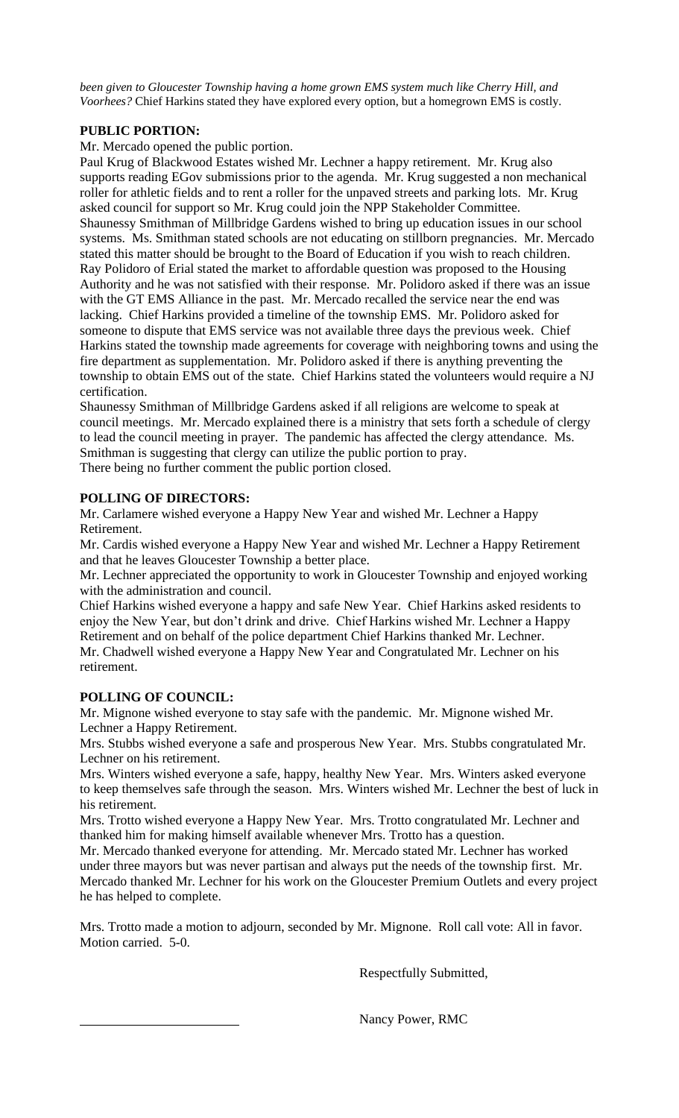*been given to Gloucester Township having a home grown EMS system much like Cherry Hill, and Voorhees?* Chief Harkins stated they have explored every option, but a homegrown EMS is costly.

# **PUBLIC PORTION:**

Mr. Mercado opened the public portion.

Paul Krug of Blackwood Estates wished Mr. Lechner a happy retirement. Mr. Krug also supports reading EGov submissions prior to the agenda. Mr. Krug suggested a non mechanical roller for athletic fields and to rent a roller for the unpaved streets and parking lots. Mr. Krug asked council for support so Mr. Krug could join the NPP Stakeholder Committee. Shaunessy Smithman of Millbridge Gardens wished to bring up education issues in our school systems. Ms. Smithman stated schools are not educating on stillborn pregnancies. Mr. Mercado stated this matter should be brought to the Board of Education if you wish to reach children. Ray Polidoro of Erial stated the market to affordable question was proposed to the Housing Authority and he was not satisfied with their response. Mr. Polidoro asked if there was an issue with the GT EMS Alliance in the past. Mr. Mercado recalled the service near the end was lacking. Chief Harkins provided a timeline of the township EMS. Mr. Polidoro asked for someone to dispute that EMS service was not available three days the previous week. Chief Harkins stated the township made agreements for coverage with neighboring towns and using the fire department as supplementation. Mr. Polidoro asked if there is anything preventing the township to obtain EMS out of the state. Chief Harkins stated the volunteers would require a NJ certification.

Shaunessy Smithman of Millbridge Gardens asked if all religions are welcome to speak at council meetings. Mr. Mercado explained there is a ministry that sets forth a schedule of clergy to lead the council meeting in prayer. The pandemic has affected the clergy attendance. Ms. Smithman is suggesting that clergy can utilize the public portion to pray.

There being no further comment the public portion closed.

# **POLLING OF DIRECTORS:**

Mr. Carlamere wished everyone a Happy New Year and wished Mr. Lechner a Happy Retirement.

Mr. Cardis wished everyone a Happy New Year and wished Mr. Lechner a Happy Retirement and that he leaves Gloucester Township a better place.

Mr. Lechner appreciated the opportunity to work in Gloucester Township and enjoyed working with the administration and council.

Chief Harkins wished everyone a happy and safe New Year. Chief Harkins asked residents to enjoy the New Year, but don't drink and drive. Chief Harkins wished Mr. Lechner a Happy Retirement and on behalf of the police department Chief Harkins thanked Mr. Lechner. Mr. Chadwell wished everyone a Happy New Year and Congratulated Mr. Lechner on his retirement.

## **POLLING OF COUNCIL:**

Mr. Mignone wished everyone to stay safe with the pandemic. Mr. Mignone wished Mr. Lechner a Happy Retirement.

Mrs. Stubbs wished everyone a safe and prosperous New Year. Mrs. Stubbs congratulated Mr. Lechner on his retirement.

Mrs. Winters wished everyone a safe, happy, healthy New Year. Mrs. Winters asked everyone to keep themselves safe through the season. Mrs. Winters wished Mr. Lechner the best of luck in his retirement.

Mrs. Trotto wished everyone a Happy New Year. Mrs. Trotto congratulated Mr. Lechner and thanked him for making himself available whenever Mrs. Trotto has a question.

Mr. Mercado thanked everyone for attending. Mr. Mercado stated Mr. Lechner has worked under three mayors but was never partisan and always put the needs of the township first. Mr. Mercado thanked Mr. Lechner for his work on the Gloucester Premium Outlets and every project he has helped to complete.

Mrs. Trotto made a motion to adjourn, seconded by Mr. Mignone. Roll call vote: All in favor. Motion carried. 5-0.

Respectfully Submitted,

Nancy Power, RMC